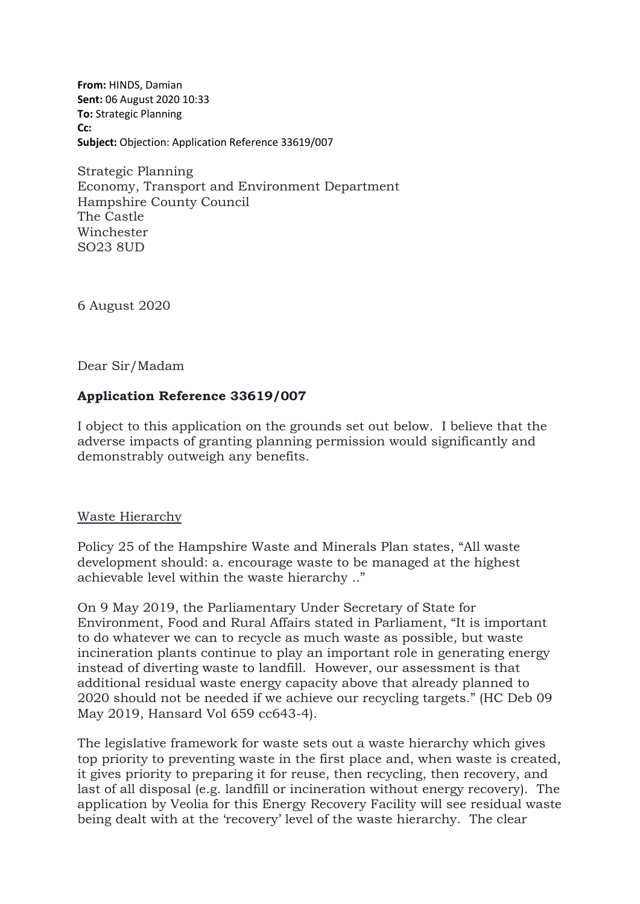**From:** HINDS, Damian **Sent:** 06 August 2020 10:33 **To:** Strategic Planning **Cc: Subject:** Objection: Application Reference 33619/007

Strategic Planning Economy, Transport and Environment Department Hampshire County Council The Castle Winchester SO23 8UD

6 August 2020

Dear Sir/Madam

# **Application Reference 33619/007**

I object to this application on the grounds set out below. I believe that the adverse impacts of granting planning permission would significantly and demonstrably outweigh any benefits.

### Waste Hierarchy

Policy 25 of the Hampshire Waste and Minerals Plan states, "All waste development should: a. encourage waste to be managed at the highest achievable level within the waste hierarchy .."

On 9 May 2019, the Parliamentary Under Secretary of State for Environment, Food and Rural Affairs stated in Parliament, "It is important to do whatever we can to recycle as much waste as possible, but waste incineration plants continue to play an important role in generating energy instead of diverting waste to landfill. However, our assessment is that additional residual waste energy capacity above that already planned to 2020 should not be needed if we achieve our recycling targets." (HC Deb 09 May 2019, Hansard Vol 659 cc643-4).

The legislative framework for waste sets out a waste hierarchy which gives top priority to preventing waste in the first place and, when waste is created, it gives priority to preparing it for reuse, then recycling, then recovery, and last of all disposal (e.g. landfill or incineration without energy recovery). The application by Veolia for this Energy Recovery Facility will see residual waste being dealt with at the 'recovery' level of the waste hierarchy. The clear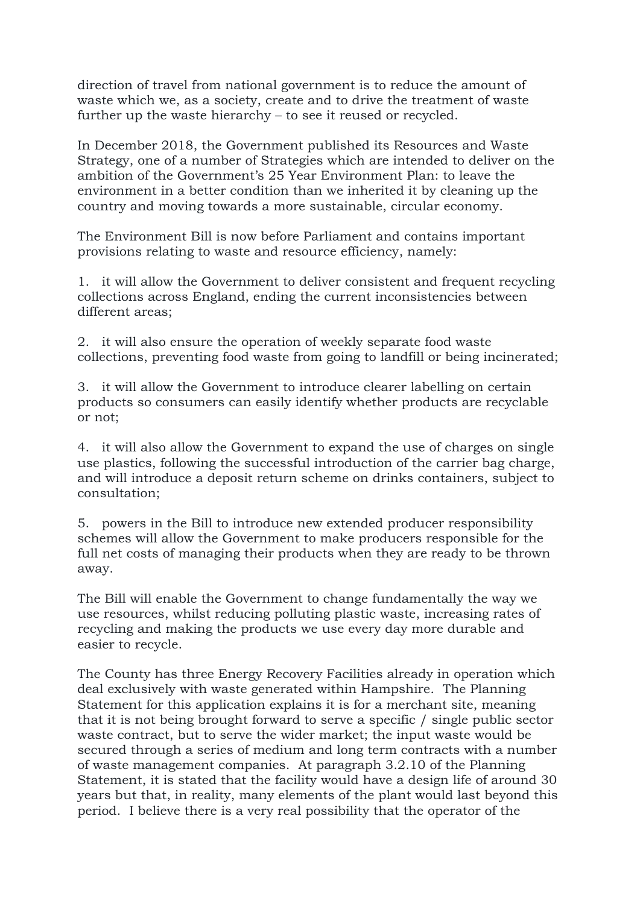direction of travel from national government is to reduce the amount of waste which we, as a society, create and to drive the treatment of waste further up the waste hierarchy – to see it reused or recycled.

In December 2018, the Government published its Resources and Waste Strategy, one of a number of Strategies which are intended to deliver on the ambition of the Government's 25 Year Environment Plan: to leave the environment in a better condition than we inherited it by cleaning up the country and moving towards a more sustainable, circular economy.

The Environment Bill is now before Parliament and contains important provisions relating to waste and resource efficiency, namely:

1. it will allow the Government to deliver consistent and frequent recycling collections across England, ending the current inconsistencies between different areas;

2. it will also ensure the operation of weekly separate food waste collections, preventing food waste from going to landfill or being incinerated;

3. it will allow the Government to introduce clearer labelling on certain products so consumers can easily identify whether products are recyclable or not;

4. it will also allow the Government to expand the use of charges on single use plastics, following the successful introduction of the carrier bag charge, and will introduce a deposit return scheme on drinks containers, subject to consultation;

5. powers in the Bill to introduce new extended producer responsibility schemes will allow the Government to make producers responsible for the full net costs of managing their products when they are ready to be thrown away.

The Bill will enable the Government to change fundamentally the way we use resources, whilst reducing polluting plastic waste, increasing rates of recycling and making the products we use every day more durable and easier to recycle.

The County has three Energy Recovery Facilities already in operation which deal exclusively with waste generated within Hampshire. The Planning Statement for this application explains it is for a merchant site, meaning that it is not being brought forward to serve a specific / single public sector waste contract, but to serve the wider market; the input waste would be secured through a series of medium and long term contracts with a number of waste management companies. At paragraph 3.2.10 of the Planning Statement, it is stated that the facility would have a design life of around 30 years but that, in reality, many elements of the plant would last beyond this period. I believe there is a very real possibility that the operator of the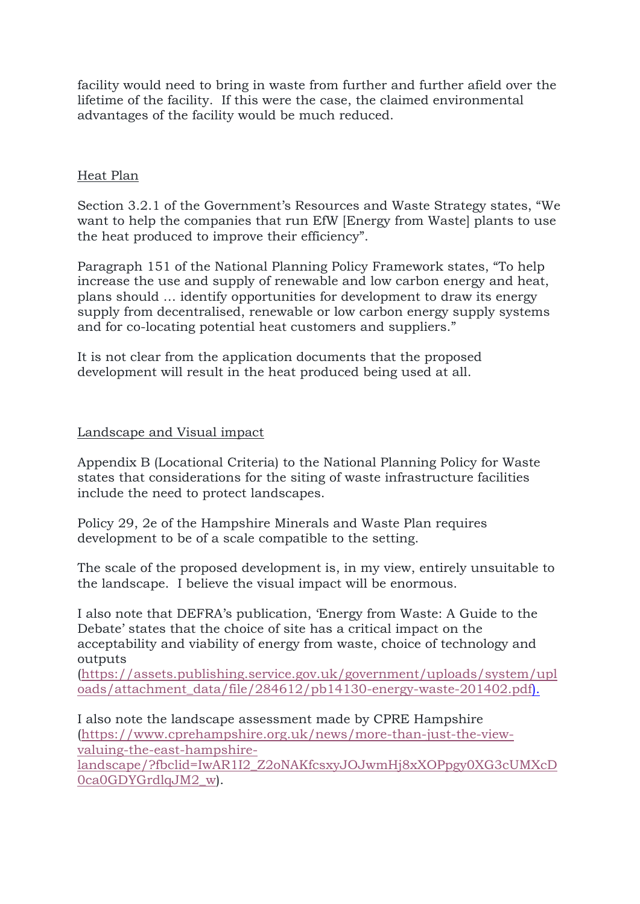facility would need to bring in waste from further and further afield over the lifetime of the facility. If this were the case, the claimed environmental advantages of the facility would be much reduced.

# Heat Plan

Section 3.2.1 of the Government's Resources and Waste Strategy states, "We want to help the companies that run EfW [Energy from Waste] plants to use the heat produced to improve their efficiency".

Paragraph 151 of the National Planning Policy Framework states, "To help increase the use and supply of renewable and low carbon energy and heat, plans should … identify opportunities for development to draw its energy supply from decentralised, renewable or low carbon energy supply systems and for co-locating potential heat customers and suppliers."

It is not clear from the application documents that the proposed development will result in the heat produced being used at all.

# Landscape and Visual impact

Appendix B (Locational Criteria) to the National Planning Policy for Waste states that considerations for the siting of waste infrastructure facilities include the need to protect landscapes.

Policy 29, 2e of the Hampshire Minerals and Waste Plan requires development to be of a scale compatible to the setting.

The scale of the proposed development is, in my view, entirely unsuitable to the landscape. I believe the visual impact will be enormous.

I also note that DEFRA's publication, 'Energy from Waste: A Guide to the Debate' states that the choice of site has a critical impact on the acceptability and viability of energy from waste, choice of technology and outputs

[\(https://assets.publishing.service.gov.uk/government/uploads/system/upl](https://assets.publishing.service.gov.uk/government/uploads/system/uploads/attachment_data/file/284612/pb14130-energy-waste-201402.pdf) [oads/attachment\\_data/file/284612/pb14130-energy-waste-201402.pdf\)](https://assets.publishing.service.gov.uk/government/uploads/system/uploads/attachment_data/file/284612/pb14130-energy-waste-201402.pdf).

I also note the landscape assessment made by CPRE Hampshire [\(https://www.cprehampshire.org.uk/news/more-than-just-the-view](https://www.cprehampshire.org.uk/news/more-than-just-the-view-valuing-the-east-hampshire-landscape/?fbclid=IwAR1I2_Z2oNAKfcsxyJOJwmHj8xXOPpgy0XG3cUMXcD0ca0GDYGrdlqJM2_w)[valuing-the-east-hampshire](https://www.cprehampshire.org.uk/news/more-than-just-the-view-valuing-the-east-hampshire-landscape/?fbclid=IwAR1I2_Z2oNAKfcsxyJOJwmHj8xXOPpgy0XG3cUMXcD0ca0GDYGrdlqJM2_w)[landscape/?fbclid=IwAR1I2\\_Z2oNAKfcsxyJOJwmHj8xXOPpgy0XG3cUMXcD](https://www.cprehampshire.org.uk/news/more-than-just-the-view-valuing-the-east-hampshire-landscape/?fbclid=IwAR1I2_Z2oNAKfcsxyJOJwmHj8xXOPpgy0XG3cUMXcD0ca0GDYGrdlqJM2_w) [0ca0GDYGrdlqJM2\\_w\)](https://www.cprehampshire.org.uk/news/more-than-just-the-view-valuing-the-east-hampshire-landscape/?fbclid=IwAR1I2_Z2oNAKfcsxyJOJwmHj8xXOPpgy0XG3cUMXcD0ca0GDYGrdlqJM2_w).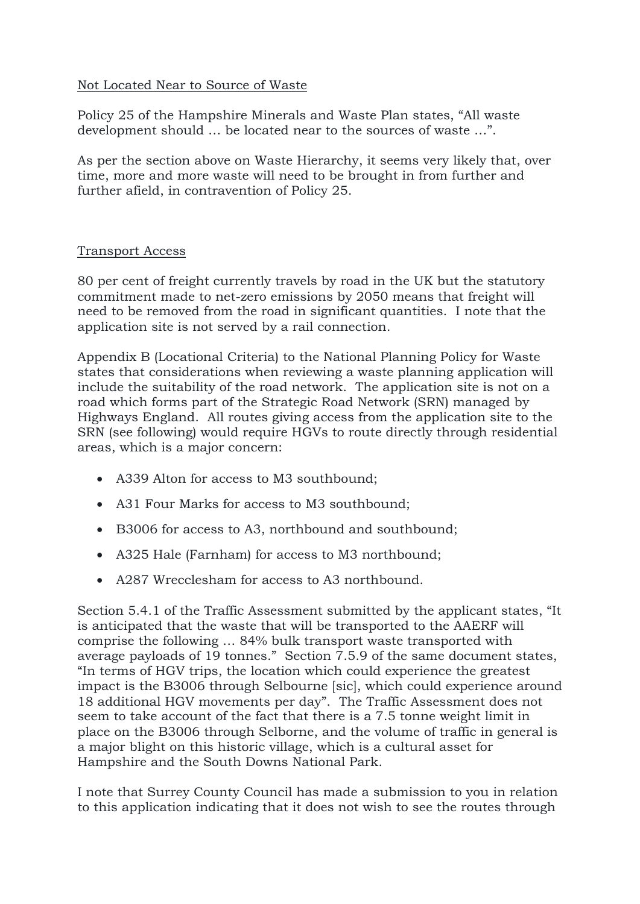# Not Located Near to Source of Waste

Policy 25 of the Hampshire Minerals and Waste Plan states, "All waste development should … be located near to the sources of waste …".

As per the section above on Waste Hierarchy, it seems very likely that, over time, more and more waste will need to be brought in from further and further afield, in contravention of Policy 25.

### Transport Access

80 per cent of freight currently travels by road in the UK but the statutory commitment made to net-zero emissions by 2050 means that freight will need to be removed from the road in significant quantities. I note that the application site is not served by a rail connection.

Appendix B (Locational Criteria) to the National Planning Policy for Waste states that considerations when reviewing a waste planning application will include the suitability of the road network. The application site is not on a road which forms part of the Strategic Road Network (SRN) managed by Highways England. All routes giving access from the application site to the SRN (see following) would require HGVs to route directly through residential areas, which is a major concern:

- A339 Alton for access to M3 southbound;
- A31 Four Marks for access to M3 southbound;
- B3006 for access to A3, northbound and southbound;
- A325 Hale (Farnham) for access to M3 northbound;
- A287 Wrecclesham for access to A3 northbound.

Section 5.4.1 of the Traffic Assessment submitted by the applicant states, "It is anticipated that the waste that will be transported to the AAERF will comprise the following … 84% bulk transport waste transported with average payloads of 19 tonnes." Section 7.5.9 of the same document states, "In terms of HGV trips, the location which could experience the greatest impact is the B3006 through Selbourne [sic], which could experience around 18 additional HGV movements per day". The Traffic Assessment does not seem to take account of the fact that there is a 7.5 tonne weight limit in place on the B3006 through Selborne, and the volume of traffic in general is a major blight on this historic village, which is a cultural asset for Hampshire and the South Downs National Park.

I note that Surrey County Council has made a submission to you in relation to this application indicating that it does not wish to see the routes through